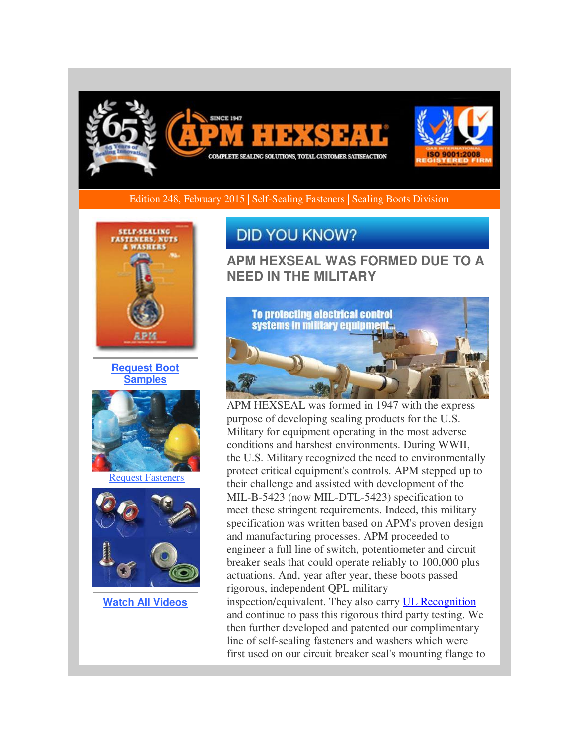

Edition 248, February 2015 | [Self-Sealing Fasteners](http://r20.rs6.net/tn.jsp?f=001U9YE7fHzEjZj9kFyGwPjxXylfeJVF72IN4qymq-zAoncr0p5nvn988sDPqAJY0vULHOG3YvUCc5x0nX7cMJwI8EkA84-gUoc3VU8vqTTNW1RAQbk53qYYwqgVGq5X-5Ikr8qOpMwz8qrec3qqj4cqP5gurcZ9uDfCjt_IlL3mHsfXKLtUEI_xllsADO1wHe5MWbfB3Ua06hNf5uCUcmQp29fh_fNUegpBUiL-Nw799Zuhf5TmyMzYuKkb5juY5zUC6Zb2Ij7MzsA41AoIeKzz7cWtr0Da6FD4QvSDPUtocK8hqKltXv0vLK9r2o0WnnQ&c=IqRlrZPv3OIWgifCULPB0CeNC-GrpZ8cy9B-dtT9UyVR8_eug8RogQ==&ch=Z9Bnf_dbxhr_YC43XQViCGfCfPHPzqWVrmcM0MTnfRHRI86IChXMog==) | Sealing Boots Division



**[Request Boot](http://r20.rs6.net/tn.jsp?f=001U9YE7fHzEjZj9kFyGwPjxXylfeJVF72IN4qymq-zAoncr0p5nvn988sDPqAJY0vU59mhu9swxFoBYs3T7InXKy5FMF2CbVJb9L8ZaPOlZP1pHAzn4h46kpKLXANJ_zFpa5eBFxxQTgZGAFYN8NTKa0ityE9XZAUL-iPNGKGyOuoZ-6wZc2_0LzrzWWISBR7VH-8qhha7S9pxOFDLiUTXUq3E0tf0fJiRtosAV_yfCD9ZCz9q21LbSuatRTiOA76v8Q0OHefvrLJp5IGtr0crh0ud0OK9OAoGAD9PlWxTIhVuyWnLcU2BCHFWm9C9rahY&c=IqRlrZPv3OIWgifCULPB0CeNC-GrpZ8cy9B-dtT9UyVR8_eug8RogQ==&ch=Z9Bnf_dbxhr_YC43XQViCGfCfPHPzqWVrmcM0MTnfRHRI86IChXMog==)  [Samples](http://r20.rs6.net/tn.jsp?f=001U9YE7fHzEjZj9kFyGwPjxXylfeJVF72IN4qymq-zAoncr0p5nvn988sDPqAJY0vU59mhu9swxFoBYs3T7InXKy5FMF2CbVJb9L8ZaPOlZP1pHAzn4h46kpKLXANJ_zFpa5eBFxxQTgZGAFYN8NTKa0ityE9XZAUL-iPNGKGyOuoZ-6wZc2_0LzrzWWISBR7VH-8qhha7S9pxOFDLiUTXUq3E0tf0fJiRtosAV_yfCD9ZCz9q21LbSuatRTiOA76v8Q0OHefvrLJp5IGtr0crh0ud0OK9OAoGAD9PlWxTIhVuyWnLcU2BCHFWm9C9rahY&c=IqRlrZPv3OIWgifCULPB0CeNC-GrpZ8cy9B-dtT9UyVR8_eug8RogQ==&ch=Z9Bnf_dbxhr_YC43XQViCGfCfPHPzqWVrmcM0MTnfRHRI86IChXMog==)**



[Request Fasteners](http://r20.rs6.net/tn.jsp?f=001U9YE7fHzEjZj9kFyGwPjxXylfeJVF72IN4qymq-zAoncr0p5nvn988sDPqAJY0vUnvGRSQ79cjIK1_AHXjyvrigWwLU_5N-FIq6X3EgU5ldfJ_DM0ztzTDP1m2z_WD9aIPRIJXAEIhXYrl8QGA4N9kgKKz42pB266s_QiWB7NVBBmzH-7b7zFocFo6mxj_-4yS9y5q6WQgMUE0r9vcHexeTYvoVEPGio6P5lFuY8jtJryuX_JChd7MQpgjhB1lDACD3zoWUaH9S6HJjEVcE09ha-DeCxy6hpaiIUEyvEpBZ2hQZj_8ma7w==&c=IqRlrZPv3OIWgifCULPB0CeNC-GrpZ8cy9B-dtT9UyVR8_eug8RogQ==&ch=Z9Bnf_dbxhr_YC43XQViCGfCfPHPzqWVrmcM0MTnfRHRI86IChXMog==)



**[Watch All Videos](http://r20.rs6.net/tn.jsp?f=001U9YE7fHzEjZj9kFyGwPjxXylfeJVF72IN4qymq-zAoncr0p5nvn988sDPqAJY0vUcwD2sA8lxPuRNJssmdJZiqVe50WNMXiqZG-b-bT7kn-uPfwV6CGmzPIb0FoH73imSnQkRj1jQAzk9nnerJLmQue_lUy5K9kOtzlo90tDLB7l2GmtMSCpzkaPoPdUcBA9BDSqWQW5RqUieiDCA_olhCQiPEewIggAh5nWxXjuGWx82j6bxZXAAMlUf26XXwgHWgSxX8t6GP8sU6kc6ZC4p3EtrCYC1mEL-elm1CmCa1E=&c=IqRlrZPv3OIWgifCULPB0CeNC-GrpZ8cy9B-dtT9UyVR8_eug8RogQ==&ch=Z9Bnf_dbxhr_YC43XQViCGfCfPHPzqWVrmcM0MTnfRHRI86IChXMog==)**

## **DID YOU KNOW?**

**APM HEXSEAL WAS FORMED DUE TO A NEED IN THE MILITARY**



APM HEXSEAL was formed in 1947 with the express purpose of developing sealing products for the U.S. Military for equipment operating in the most adverse conditions and harshest environments. During WWII, the U.S. Military recognized the need to environmentally protect critical equipment's controls. APM stepped up to their challenge and assisted with development of the MIL-B-5423 (now MIL-DTL-5423) specification to meet these stringent requirements. Indeed, this military specification was written based on APM's proven design and manufacturing processes. APM proceeded to engineer a full line of switch, potentiometer and circuit breaker seals that could operate reliably to 100,000 plus actuations. And, year after year, these boots passed rigorous, independent QPL military inspection/equivalent. They also carr[y UL Recognition](http://r20.rs6.net/tn.jsp?f=001U9YE7fHzEjZj9kFyGwPjxXylfeJVF72IN4qymq-zAoncr0p5nvn988sDPqAJY0vURv0X8ZCpcCkqqOvur9n4CIvpVEEpj_BwQZfo83-rQWUb-_wOTVc9p5YG5hyzeiN2R3_qTGkS-0-WRMB031lSB35y6jlLAUWPEflWWiztN_T1Fcplx9idxwfiG_xqAc999F6c1sDmByIvWji1uBDGj6t41hKPTQRcZ0-W9G7URbEl6QCbSb6FlvBzdqNQ86HDwjTtxi-JF1eY31VS21HBcjJp99oUytcQ&c=IqRlrZPv3OIWgifCULPB0CeNC-GrpZ8cy9B-dtT9UyVR8_eug8RogQ==&ch=Z9Bnf_dbxhr_YC43XQViCGfCfPHPzqWVrmcM0MTnfRHRI86IChXMog==) and continue to pass this rigorous third party testing. We then further developed and patented our complimentary line of self-sealing fasteners and washers which were

first used on our circuit breaker seal's mounting flange to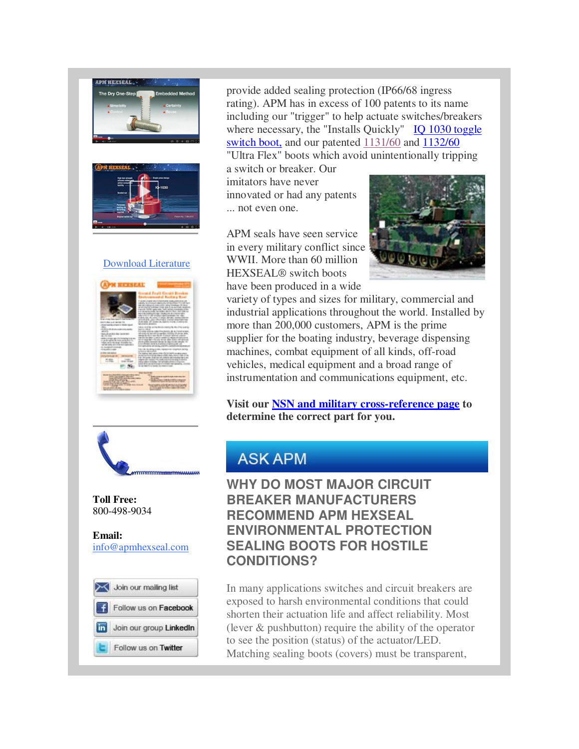



## [Download Literature](http://r20.rs6.net/tn.jsp?f=001U9YE7fHzEjZj9kFyGwPjxXylfeJVF72IN4qymq-zAoncr0p5nvn988sDPqAJY0vUkuf57280BxPHmPxF0t71iVqmMwJM9OxUevra_u4FtvElo488DqJBMOyEL-leoqO2YSlS3ySfg61CMpNxyzrbrve82x3KXwuqF6RCeD-ET4WQ-z3nzaAobIfyj560r5ZbBWVa-hO5UTCR-gfHgHRzREwKUPhcwOCXajytIXuR-EV8uyJiVSHHER6_PLQ7iETO5mBBEHX0s5UUQhwxhCD9PIzYFTwt0Y1TvYuImK9yOd4=&c=IqRlrZPv3OIWgifCULPB0CeNC-GrpZ8cy9B-dtT9UyVR8_eug8RogQ==&ch=Z9Bnf_dbxhr_YC43XQViCGfCfPHPzqWVrmcM0MTnfRHRI86IChXMog==)



provide added sealing protection (IP66/68 ingress rating). APM has in excess of 100 patents to its name including our "trigger" to help actuate switches/breakers where necessary, the "Installs Quickly" IQ 1030 toggle [switch boot,](http://r20.rs6.net/tn.jsp?f=001U9YE7fHzEjZj9kFyGwPjxXylfeJVF72IN4qymq-zAoncr0p5nvn980IjEv7LaQNhiNQcb1KgNBHzOGWablRuWKpv1owL-KKd59Da48QTEB5tw6xwmXHidSif2vWiiQ0-JUSdndjg3qoZ8iiBzMx5Hgjpi0tFO06pFbJns743zMbrgtl_C9ROF3qJTOaUtsAhWiIKEWJc88s5faWTE3bx-dGlDD4Eq2MnZPoPOEPTMODe-v-iw1r6EL5ox_OWiZb_FAwGmpejhVkjKsS3uCrM2iuLfAwLqEzIejUOWBC9ZgOFyqzXvad7mgq1AiRY9T7QRL8EZ8yTDv8=&c=IqRlrZPv3OIWgifCULPB0CeNC-GrpZ8cy9B-dtT9UyVR8_eug8RogQ==&ch=Z9Bnf_dbxhr_YC43XQViCGfCfPHPzqWVrmcM0MTnfRHRI86IChXMog==) and our patented [1131/60](http://r20.rs6.net/tn.jsp?f=001U9YE7fHzEjZj9kFyGwPjxXylfeJVF72IN4qymq-zAoncr0p5nvn980IjEv7LaQNhRH7-8MqcU9ZyTBS8xVOvIO1JRcGxqWCuSaucQPAz3ZqQ7qwIORqS-Aw0jTZ0rV-Wn7N1RchQwC2GPjbb0vWf28rMzwDInisXc8qyav-qpiUTlrJZuIoDHQqAQlt607d5IKO1mvRiGRfsbYyOXjdGebdKmg2_7wOkaHjVGk58aYit5uNbYNXTeabK_RZAUX1XFXtTfTaQsFfxFFca-vv_StcfLJN-LeaCmGBWr59DHpbce3CxUv_1jPtxrNZHPRTTPvQXQPJY1Eo=&c=IqRlrZPv3OIWgifCULPB0CeNC-GrpZ8cy9B-dtT9UyVR8_eug8RogQ==&ch=Z9Bnf_dbxhr_YC43XQViCGfCfPHPzqWVrmcM0MTnfRHRI86IChXMog==) and [1132/60](http://r20.rs6.net/tn.jsp?f=001U9YE7fHzEjZj9kFyGwPjxXylfeJVF72IN4qymq-zAoncr0p5nvn98111E_0WFiYGFbx-e56aBjEk7KV7eagaPBYOd4essgkGNLOkM0bxo1Qj9TK9TXlzmttS3CSYCOZ0NsHAKfVVbJF_9iDm9M4qzH5IxebXbFR7mJe64tEjCH5gN2DooX2ob1qy7qJuDLdVKMAEFl_eVDorKFhS02w7xuq3YY121VAMHI1c6H8_pM7oPzinS0ZRFY7SVWLr2imvS2da-ghFA2uZSPpheSwFZrmvEz3QXOe82HfK91g0GyPpu0Ko7dIr-ItBksao8zyAmdSH_2G_388=&c=IqRlrZPv3OIWgifCULPB0CeNC-GrpZ8cy9B-dtT9UyVR8_eug8RogQ==&ch=Z9Bnf_dbxhr_YC43XQViCGfCfPHPzqWVrmcM0MTnfRHRI86IChXMog==) "Ultra Flex" boots which avoid unintentionally tripping

a switch or breaker. Our imitators have never innovated or had any patents ... not even one.

APM seals have seen service in every military conflict since WWII. More than 60 million HEXSEAL® switch boots have been produced in a wide



variety of types and sizes for military, commercial and industrial applications throughout the world. Installed by more than 200,000 customers, APM is the prime supplier for the boating industry, beverage dispensing machines, combat equipment of all kinds, off-road vehicles, medical equipment and a broad range of instrumentation and communications equipment, etc.

**Visit our [NSN and military cross-reference page](http://r20.rs6.net/tn.jsp?f=001U9YE7fHzEjZj9kFyGwPjxXylfeJVF72IN4qymq-zAoncr0p5nvn980IjEv7LaQNhNqpxnXF0Ir4vhnivyIC6lZxQ07LZ9E410OwEyRxNCa_KeX7erv_dozU6Y3YFCv3xE8u-rB-9VTyU9heYh6WPt71Tp96oNoAfNZFJGRgbXup6u-0rd5lwgaZabpoH9POavRTbg1Hu-UNNQTnvnbTGsytWj0BEzMBomDSzdlkuMdl7QfOIHG_GMnl4JnbpjVUuTFuOHQFLu3y5imFWsQoROv4iM-AZDkcv3azS05XI6WE5u4Bh23750bUkUv8PupkW&c=IqRlrZPv3OIWgifCULPB0CeNC-GrpZ8cy9B-dtT9UyVR8_eug8RogQ==&ch=Z9Bnf_dbxhr_YC43XQViCGfCfPHPzqWVrmcM0MTnfRHRI86IChXMog==) to determine the correct part for you.**



**Toll Free:**  800-498-9034

**Email:** [info@apmhexseal.com](mailto:info@apmhexseal.com)



## **ASK APM**

**WHY DO MOST MAJOR CIRCUIT BREAKER MANUFACTURERS RECOMMEND APM HEXSEAL ENVIRONMENTAL PROTECTION SEALING BOOTS FOR HOSTILE CONDITIONS?**

In many applications switches and circuit breakers are exposed to harsh environmental conditions that could shorten their actuation life and affect reliability. Most (lever & pushbutton) require the ability of the operator to see the position (status) of the actuator/LED. Matching sealing boots (covers) must be transparent,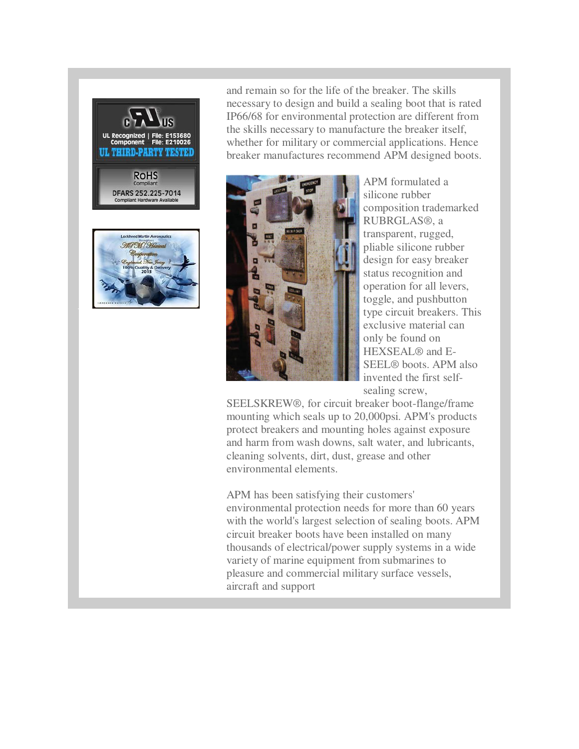



and remain so for the life of the breaker. The skills necessary to design and build a sealing boot that is rated IP66/68 for environmental protection are different from the skills necessary to manufacture the breaker itself, whether for military or commercial applications. Hence breaker manufactures recommend APM designed boots.



APM formulated a silicone rubber composition trademarked RUBRGLAS®, a transparent, rugged, pliable silicone rubber design for easy breaker status recognition and operation for all levers, toggle, and pushbutton type circuit breakers. This exclusive material can only be found on HEXSEAL® and E-SEEL® boots. APM also invented the first selfsealing screw,

SEELSKREW®, for circuit breaker boot-flange/frame mounting which seals up to 20,000psi. APM's products protect breakers and mounting holes against exposure and harm from wash downs, salt water, and lubricants, cleaning solvents, dirt, dust, grease and other environmental elements.

APM has been satisfying their customers' environmental protection needs for more than 60 years with the world's largest selection of sealing boots. APM circuit breaker boots have been installed on many thousands of electrical/power supply systems in a wide variety of marine equipment from submarines to pleasure and commercial military surface vessels, aircraft and support